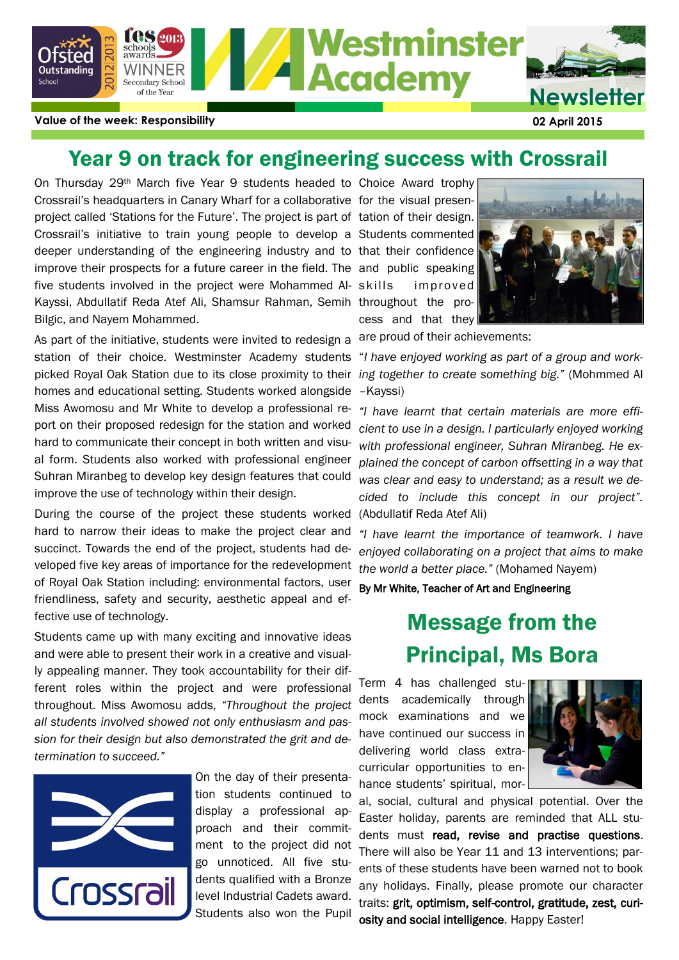

### Year 9 on track for engineering success with Crossrail

On Thursday 29<sup>th</sup> March five Year 9 students headed to Choice Award trophy Crossrail's headquarters in Canary Wharf for a collaborative for the visual presenproject called 'Stations for the Future'. The project is part of tation of their design. Crossrail's initiative to train young people to develop a Students commented deeper understanding of the engineering industry and to that their confidence improve their prospects for a future career in the field. The and public speaking five students involved in the project were Mohammed Al- skills Kayssi, Abdullatif Reda Atef Ali, Shamsur Rahman, Semih throughout the pro-Bilgic, and Nayem Mohammed.

As part of the initiative, students were invited to redesign a station of their choice. Westminster Academy students "*I have enjoyed working as part of a group and work*picked Royal Oak Station due to its close proximity to their *ing together to create something big."* (Mohmmed Al homes and educational setting. Students worked alongside Miss Awomosu and Mr White to develop a professional report on their proposed redesign for the station and worked hard to communicate their concept in both written and visual form. Students also worked with professional engineer Suhran Miranbeg to develop key design features that could improve the use of technology within their design.

During the course of the project these students worked (Abdullatif Reda Atef Ali) hard to narrow their ideas to make the project clear and succinct. Towards the end of the project, students had developed five key areas of importance for the redevelopment *the world a better place."* (Mohamed Nayem) of Royal Oak Station including: environmental factors, user friendliness, safety and security, aesthetic appeal and effective use of technology.

Students came up with many exciting and innovative ideas and were able to present their work in a creative and visually appealing manner. They took accountability for their different roles within the project and were professional throughout. Miss Awomosu adds, *"Throughout the project all students involved showed not only enthusiasm and passion for their design but also demonstrated the grit and determination to succeed."*



On the day of their presentation students continued to display a professional approach and their commitment to the project did not go unnoticed. All five students qualified with a Bronze level Industrial Cadets award. Students also won the Pupil

improved cess and that they



are proud of their achievements:

–Kayssi)

*"I have learnt that certain materials are more efficient to use in a design. I particularly enjoyed working with professional engineer, Suhran Miranbeg. He explained the concept of carbon offsetting in a way that was clear and easy to understand; as a result we decided to include this concept in our project".* 

*"I have learnt the importance of teamwork. I have enjoyed collaborating on a project that aims to make* 

By Mr White, Teacher of Art and Engineering

# Message from the Principal, Ms Bora

Term 4 has challenged students academically through mock examinations and we have continued our success in delivering world class extracurricular opportunities to enhance students' spiritual, mor-



al, social, cultural and physical potential. Over the Easter holiday, parents are reminded that ALL students must read, revise and practise questions. There will also be Year 11 and 13 interventions; parents of these students have been warned not to book any holidays. Finally, please promote our character traits: grit, optimism, self-control, gratitude, zest, curiosity and social intelligence. Happy Easter!